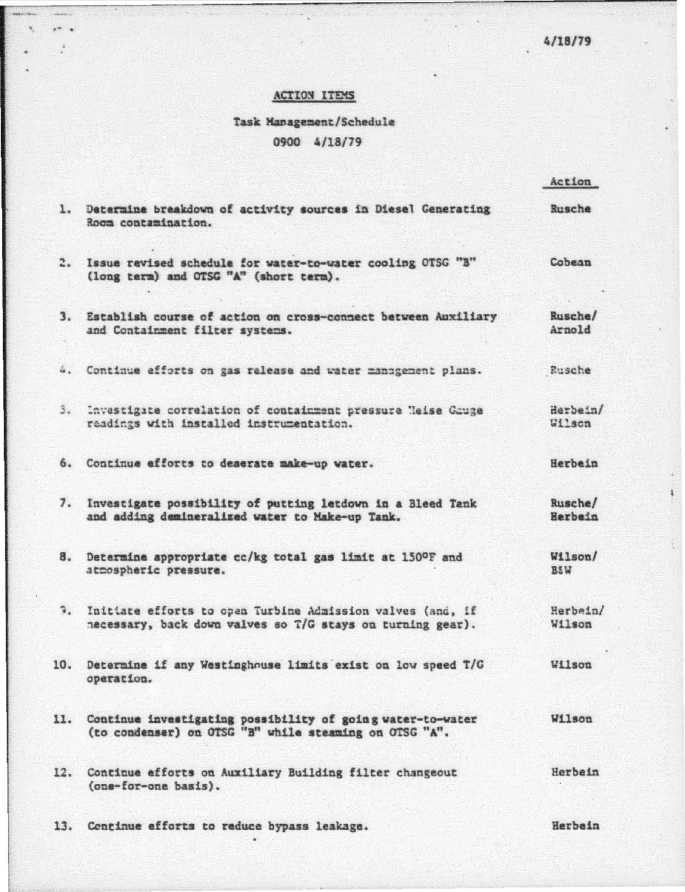## $4/18/79$

## ACTION ITEMS

92

 $x^*$ 

 $\mathcal{L}$ 

## Task Management/Schedule 0900 4/18/79

|     |                                                                                                                          | Action                |
|-----|--------------------------------------------------------------------------------------------------------------------------|-----------------------|
| 1.  | Determine breakdown of activity sources in Diesel Generating<br>Room contamination.                                      | Rusche                |
| 2.  | Issue revised schedule for water-to-water cooling OTSG "B"<br>(long term) and OTSG "A" (short term).                     | Cobean                |
| 3.  | Establish course of action on cross-connect between Auxiliary<br>and Containment filter systems.                         | Rusche/<br>Arnold     |
| 4.  | Continue efforts on gas release and water management plans.                                                              | Rusche                |
| 5.  | Investigate correlation of containment pressure Meise Gauge<br>readings with installed instrumentation.                  | Herbein/<br>Wilson    |
|     | 6. Continue efforts to deserate make-up water.                                                                           | Herbein               |
| 7.  | Investigate possibility of putting letdown in a Bleed Tank<br>and adding demineralized water to Make-up Tank.            | Rusche/<br>Herbein    |
| 8.  | Determine appropriate cc/kg total gas limit at 150ºF and<br>atmospheric pressure.                                        | Wilson/<br><b>BSW</b> |
| 9.  | Initiate efforts to open Turbine Admission valves (and, if<br>necessary, back down valves so T/G stays on turning gear). | Herbein/<br>Wilson    |
| 10. | Determine if any Westinghouse limits exist on low speed T/G<br>operation.                                                | Wilson                |
| 11. | Continue investigating possibility of going water-to-water<br>(to condenser) on OTSG "B" while steaming on OTSG "A".     | Wilson                |
| 12. | Continue efforts on Auxiliary Building filter changeout<br>(one-for-one basis).                                          | Herbein               |
|     | 13. Continue efforts to reduce hypess leakage.                                                                           | Herbein               |

 $\ddot{\phantom{a}}$